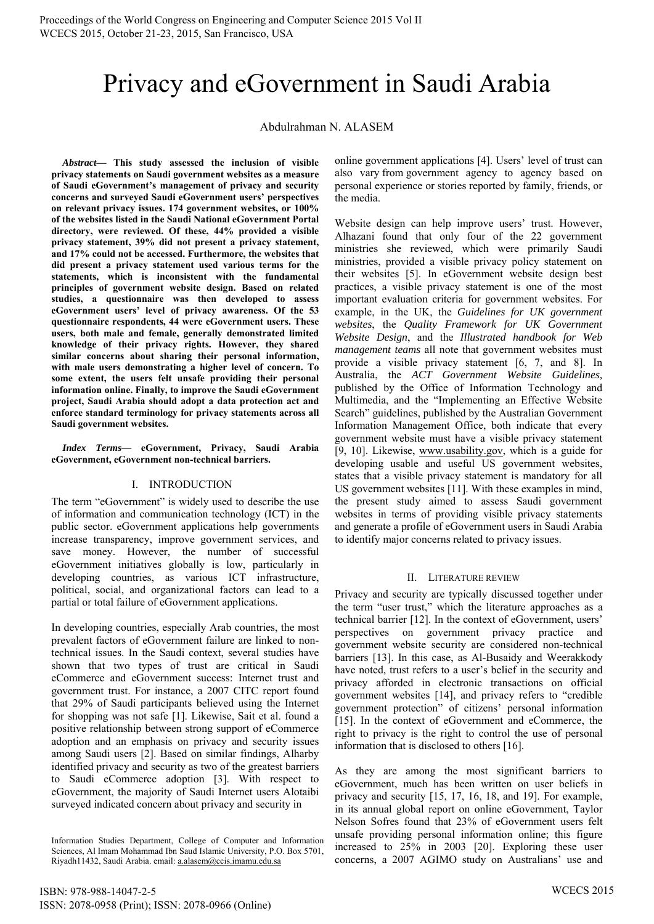# Privacy and eGovernment in Saudi Arabia

# Abdulrahman N. ALASEM

*Abstract***— This study assessed the inclusion of visible privacy statements on Saudi government websites as a measure of Saudi eGovernment's management of privacy and security concerns and surveyed Saudi eGovernment users' perspectives on relevant privacy issues. 174 government websites, or 100% of the websites listed in the Saudi National eGovernment Portal directory, were reviewed. Of these, 44% provided a visible privacy statement, 39% did not present a privacy statement, and 17% could not be accessed. Furthermore, the websites that did present a privacy statement used various terms for the statements, which is inconsistent with the fundamental principles of government website design. Based on related studies, a questionnaire was then developed to assess eGovernment users' level of privacy awareness. Of the 53 questionnaire respondents, 44 were eGovernment users. These users, both male and female, generally demonstrated limited knowledge of their privacy rights. However, they shared similar concerns about sharing their personal information, with male users demonstrating a higher level of concern. To some extent, the users felt unsafe providing their personal information online. Finally, to improve the Saudi eGovernment project, Saudi Arabia should adopt a data protection act and enforce standard terminology for privacy statements across all Saudi government websites.** 

*Index Terms***— eGovernment, Privacy, Saudi Arabia eGovernment, eGovernment non-technical barriers.** 

# I. INTRODUCTION

The term "eGovernment" is widely used to describe the use of information and communication technology (ICT) in the public sector. eGovernment applications help governments increase transparency, improve government services, and save money. However, the number of successful eGovernment initiatives globally is low, particularly in developing countries, as various ICT infrastructure, political, social, and organizational factors can lead to a partial or total failure of eGovernment applications.

In developing countries, especially Arab countries, the most prevalent factors of eGovernment failure are linked to nontechnical issues. In the Saudi context, several studies have shown that two types of trust are critical in Saudi eCommerce and eGovernment success: Internet trust and government trust. For instance, a 2007 CITC report found that 29% of Saudi participants believed using the Internet for shopping was not safe [1]. Likewise, Sait et al. found a positive relationship between strong support of eCommerce adoption and an emphasis on privacy and security issues among Saudi users [2]. Based on similar findings, Alharby identified privacy and security as two of the greatest barriers to Saudi eCommerce adoption [3]. With respect to eGovernment, the majority of Saudi Internet users Alotaibi surveyed indicated concern about privacy and security in

Information Studies Department, College of Computer and Information Sciences, Al Imam Mohammad Ibn Saud Islamic University, P.O. Box 5701, Riyadh11432, Saudi Arabia. email: a.alasem@ccis.imamu.edu.sa

online government applications [4]. Users' level of trust can also vary from government agency to agency based on personal experience or stories reported by family, friends, or the media.

Website design can help improve users' trust. However, Alhazani found that only four of the 22 government ministries she reviewed, which were primarily Saudi ministries, provided a visible privacy policy statement on their websites [5]. In eGovernment website design best practices, a visible privacy statement is one of the most important evaluation criteria for government websites. For example, in the UK, the *Guidelines for UK government websites*, the *Quality Framework for UK Government Website Design*, and the *Illustrated handbook for Web management teams* all note that government websites must provide a visible privacy statement [6, 7, and 8]. In Australia, the *ACT Government Website Guidelines,* published by the Office of Information Technology and Multimedia, and the "Implementing an Effective Website Search" guidelines, published by the Australian Government Information Management Office, both indicate that every government website must have a visible privacy statement [9, 10]. Likewise, www.usability.gov, which is a guide for developing usable and useful US government websites, states that a visible privacy statement is mandatory for all US government websites [11]. With these examples in mind, the present study aimed to assess Saudi government websites in terms of providing visible privacy statements and generate a profile of eGovernment users in Saudi Arabia to identify major concerns related to privacy issues.

# II. LITERATURE REVIEW

Privacy and security are typically discussed together under the term "user trust," which the literature approaches as a technical barrier [12]. In the context of eGovernment, users' perspectives on government privacy practice and government website security are considered non-technical barriers [13]. In this case, as Al-Busaidy and Weerakkody have noted, trust refers to a user's belief in the security and privacy afforded in electronic transactions on official government websites [14], and privacy refers to "credible government protection" of citizens' personal information [15]. In the context of eGovernment and eCommerce, the right to privacy is the right to control the use of personal information that is disclosed to others [16].

As they are among the most significant barriers to eGovernment, much has been written on user beliefs in privacy and security [15, 17, 16, 18, and 19]. For example, in its annual global report on online eGovernment, Taylor Nelson Sofres found that 23% of eGovernment users felt unsafe providing personal information online; this figure increased to 25% in 2003 [20]. Exploring these user concerns, a 2007 AGIMO study on Australians' use and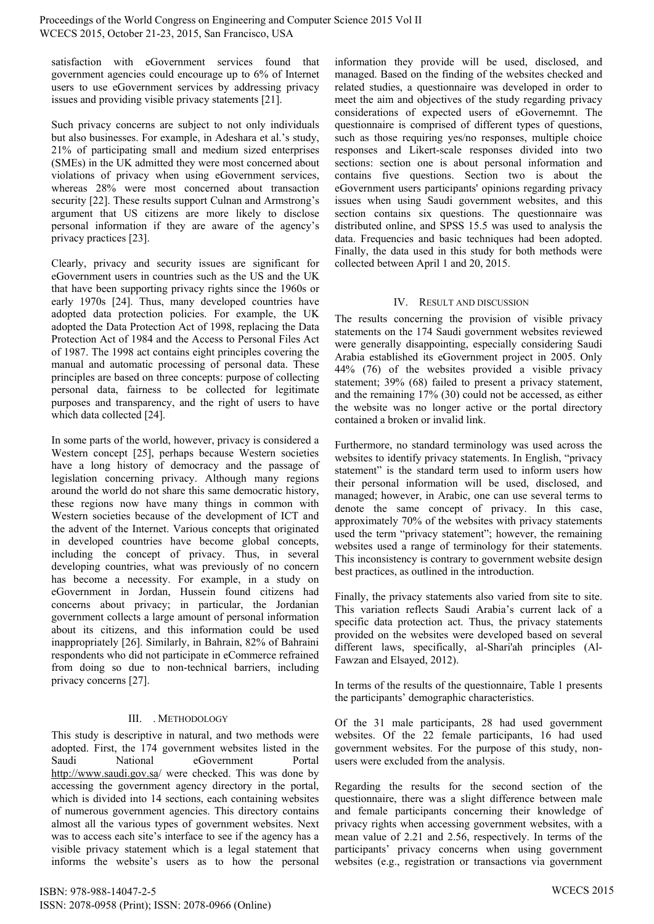satisfaction with eGovernment services found that government agencies could encourage up to 6% of Internet users to use eGovernment services by addressing privacy issues and providing visible privacy statements [21].

Such privacy concerns are subject to not only individuals but also businesses. For example, in Adeshara et al.'s study, 21% of participating small and medium sized enterprises (SMEs) in the UK admitted they were most concerned about violations of privacy when using eGovernment services, whereas 28% were most concerned about transaction security [22]. These results support Culnan and Armstrong's argument that US citizens are more likely to disclose personal information if they are aware of the agency's privacy practices [23].

Clearly, privacy and security issues are significant for eGovernment users in countries such as the US and the UK that have been supporting privacy rights since the 1960s or early 1970s [24]. Thus, many developed countries have adopted data protection policies. For example, the UK adopted the Data Protection Act of 1998, replacing the Data Protection Act of 1984 and the Access to Personal Files Act of 1987. The 1998 act contains eight principles covering the manual and automatic processing of personal data. These principles are based on three concepts: purpose of collecting personal data, fairness to be collected for legitimate purposes and transparency, and the right of users to have which data collected [24].

In some parts of the world, however, privacy is considered a Western concept [25], perhaps because Western societies have a long history of democracy and the passage of legislation concerning privacy. Although many regions around the world do not share this same democratic history, these regions now have many things in common with Western societies because of the development of ICT and the advent of the Internet. Various concepts that originated in developed countries have become global concepts, including the concept of privacy. Thus, in several developing countries, what was previously of no concern has become a necessity. For example, in a study on eGovernment in Jordan, Hussein found citizens had concerns about privacy; in particular, the Jordanian government collects a large amount of personal information about its citizens, and this information could be used inappropriately [26]. Similarly, in Bahrain, 82% of Bahraini respondents who did not participate in eCommerce refrained from doing so due to non-technical barriers, including privacy concerns [27].

# III. . METHODOLOGY

This study is descriptive in natural, and two methods were adopted. First, the 174 government websites listed in the Saudi National eGovernment Portal http://www.saudi.gov.sa/ were checked. This was done by accessing the government agency directory in the portal, which is divided into 14 sections, each containing websites of numerous government agencies. This directory contains almost all the various types of government websites. Next was to access each site's interface to see if the agency has a visible privacy statement which is a legal statement that informs the website's users as to how the personal

information they provide will be used, disclosed, and managed. Based on the finding of the websites checked and related studies, a questionnaire was developed in order to meet the aim and objectives of the study regarding privacy considerations of expected users of eGovernemnt. The questionnaire is comprised of different types of questions, such as those requiring yes/no responses, multiple choice responses and Likert-scale responses divided into two sections: section one is about personal information and contains five questions. Section two is about the eGovernment users participants' opinions regarding privacy issues when using Saudi government websites, and this section contains six questions. The questionnaire was distributed online, and SPSS 15.5 was used to analysis the data. Frequencies and basic techniques had been adopted. Finally, the data used in this study for both methods were collected between April 1 and 20, 2015.

# IV. RESULT AND DISCUSSION

The results concerning the provision of visible privacy statements on the 174 Saudi government websites reviewed were generally disappointing, especially considering Saudi Arabia established its eGovernment project in 2005. Only 44% (76) of the websites provided a visible privacy statement; 39% (68) failed to present a privacy statement, and the remaining 17% (30) could not be accessed, as either the website was no longer active or the portal directory contained a broken or invalid link.

Furthermore, no standard terminology was used across the websites to identify privacy statements. In English, "privacy statement" is the standard term used to inform users how their personal information will be used, disclosed, and managed; however, in Arabic, one can use several terms to denote the same concept of privacy. In this case, approximately 70% of the websites with privacy statements used the term "privacy statement"; however, the remaining websites used a range of terminology for their statements. This inconsistency is contrary to government website design best practices, as outlined in the introduction.

Finally, the privacy statements also varied from site to site. This variation reflects Saudi Arabia's current lack of a specific data protection act. Thus, the privacy statements provided on the websites were developed based on several different laws, specifically, al-Shari'ah principles (Al-Fawzan and Elsayed, 2012).

In terms of the results of the questionnaire, Table 1 presents the participants' demographic characteristics.

Of the 31 male participants, 28 had used government websites. Of the 22 female participants, 16 had used government websites. For the purpose of this study, nonusers were excluded from the analysis.

Regarding the results for the second section of the questionnaire, there was a slight difference between male and female participants concerning their knowledge of privacy rights when accessing government websites, with a mean value of 2.21 and 2.56, respectively. In terms of the participants' privacy concerns when using government websites (e.g., registration or transactions via government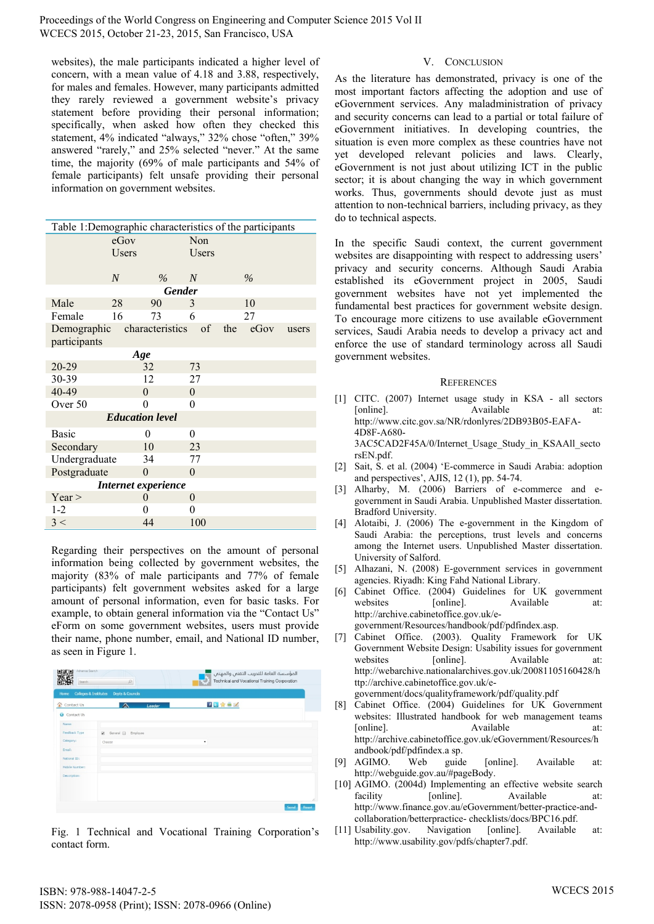Proceedings of the World Congress on Engineering and Computer Science 2015 Vol II WCECS 2015, October 21-23, 2015, San Francisco, USA

websites), the male participants indicated a higher level of concern, with a mean value of 4.18 and 3.88, respectively, for males and females. However, many participants admitted they rarely reviewed a government website's privacy statement before providing their personal information; specifically, when asked how often they checked this statement, 4% indicated "always," 32% chose "often," 39% answered "rarely," and 25% selected "never." At the same time, the majority (69% of male participants and 54% of female participants) felt unsafe providing their personal information on government websites.

| Table 1:Demographic characteristics of the participants |                |                 |                |     |      |       |  |
|---------------------------------------------------------|----------------|-----------------|----------------|-----|------|-------|--|
| eGov                                                    |                |                 | Non            |     |      |       |  |
|                                                         | Users          |                 | Users          |     |      |       |  |
|                                                         |                |                 |                |     |      |       |  |
|                                                         | $\overline{N}$ | $\frac{0}{6}$   | N              |     | $\%$ |       |  |
| <b>Gender</b>                                           |                |                 |                |     |      |       |  |
| Male                                                    | 28             | 90              | 3              |     | 10   |       |  |
| Female                                                  | 16             | 73              | 6              |     | 27   |       |  |
| Demographic                                             |                | characteristics | of             | the | eGov | users |  |
| participants                                            |                |                 |                |     |      |       |  |
| Age                                                     |                |                 |                |     |      |       |  |
| $20 - 29$                                               |                | 32              | 73             |     |      |       |  |
| 30-39                                                   |                | 12              | 27             |     |      |       |  |
| 40-49                                                   |                | $\mathbf{0}$    | $\overline{0}$ |     |      |       |  |
| Over 50                                                 |                | $\Omega$        | 0              |     |      |       |  |
| <b>Education level</b>                                  |                |                 |                |     |      |       |  |
| <b>Basic</b>                                            |                | 0               | $\overline{0}$ |     |      |       |  |
| Secondary                                               |                | 10              | 23             |     |      |       |  |
| Undergraduate                                           |                | 34              | 77             |     |      |       |  |
| Postgraduate                                            |                | $\Omega$        | $\theta$       |     |      |       |  |
| Internet experience                                     |                |                 |                |     |      |       |  |
| Year >                                                  |                | $\theta$        | $\overline{0}$ |     |      |       |  |
| $1-2$                                                   |                | 0               | 0              |     |      |       |  |
| 3 <                                                     |                | 44              | 100            |     |      |       |  |

Regarding their perspectives on the amount of personal information being collected by government websites, the majority (83% of male participants and 77% of female participants) felt government websites asked for a large amount of personal information, even for basic tasks. For example, to obtain general information via the "Contact Us" eForm on some government websites, users must provide their name, phone number, email, and National ID number, as seen in Figure 1.

| Advance Search<br>Search                 | $\varnothing$                                                 | المؤسسة العامة للتدريب التقنبي والمهنبي<br>Technical and Vocational Training Corporation |
|------------------------------------------|---------------------------------------------------------------|------------------------------------------------------------------------------------------|
| <b>Colleges &amp; Institutes</b><br>Home | <b>Depts &amp; Councils</b>                                   |                                                                                          |
| Contact Us                               | △<br>Leader                                                   | 日日食事区                                                                                    |
| G<br>Contact Us                          |                                                               |                                                                                          |
| Name:                                    |                                                               |                                                                                          |
| Feedback Type                            | Employee<br>$\overline{\mathcal{L}}$<br>General <sub>11</sub> |                                                                                          |
| Category:                                | Choose                                                        | $\blacksquare$                                                                           |
| Email:                                   |                                                               |                                                                                          |
| National ID:                             |                                                               |                                                                                          |
| Mobile Number:                           |                                                               |                                                                                          |
| Description:                             |                                                               | h.                                                                                       |
|                                          |                                                               | Send<br>Reset                                                                            |

Fig. 1 Technical and Vocational Training Corporation's contact form.

# V. CONCLUSION

As the literature has demonstrated, privacy is one of the most important factors affecting the adoption and use of eGovernment services. Any maladministration of privacy and security concerns can lead to a partial or total failure of eGovernment initiatives. In developing countries, the situation is even more complex as these countries have not yet developed relevant policies and laws. Clearly, eGovernment is not just about utilizing ICT in the public sector; it is about changing the way in which government works. Thus, governments should devote just as must attention to non-technical barriers, including privacy, as they do to technical aspects.

In the specific Saudi context, the current government websites are disappointing with respect to addressing users' privacy and security concerns. Although Saudi Arabia established its eGovernment project in 2005, Saudi government websites have not yet implemented the fundamental best practices for government website design. To encourage more citizens to use available eGovernment services, Saudi Arabia needs to develop a privacy act and enforce the use of standard terminology across all Saudi government websites.

#### **REFERENCES**

- [1] CITC. (2007) Internet usage study in KSA all sectors [online]. Available at: http://www.citc.gov.sa/NR/rdonlyres/2DB93B05-EAFA-4D8F-A680- 3AC5CAD2F45A/0/Internet\_Usage\_Study\_in\_KSAAll\_secto rsEN.pdf.
- [2] Sait, S. et al. (2004) 'E-commerce in Saudi Arabia: adoption and perspectives', AJIS, 12 (1), pp. 54-74.
- [3] Alharby, M. (2006) Barriers of e-commerce and egovernment in Saudi Arabia. Unpublished Master dissertation. Bradford University.
- [4] Alotaibi, J. (2006) The e-government in the Kingdom of Saudi Arabia: the perceptions, trust levels and concerns among the Internet users. Unpublished Master dissertation. University of Salford.
- [5] Alhazani, N. (2008) E-government services in government agencies. Riyadh: King Fahd National Library.
- [6] Cabinet Office. (2004) Guidelines for UK government websites [online]. Available at: http://archive.cabinetoffice.gov.uk/egovernment/Resources/handbook/pdf/pdfindex.asp.

[7] Cabinet Office. (2003). Quality Framework for UK Government Website Design: Usability issues for government websites [online]. Available at: http://webarchive.nationalarchives.gov.uk/20081105160428/h ttp://archive.cabinetoffice.gov.uk/e-

government/docs/qualityframework/pdf/quality.pdf

- [8] Cabinet Office. (2004) Guidelines for UK Government websites: Illustrated handbook for web management teams [online]. Available at: http://archive.cabinetoffice.gov.uk/eGovernment/Resources/h andbook/pdf/pdfindex.a sp.
- [9] AGIMO. Web guide [online]. Available at: http://webguide.gov.au/#pageBody.
- [10] AGIMO. (2004d) Implementing an effective website search facility [online]. Available at: http://www.finance.gov.au/eGovernment/better-practice-andcollaboration/betterpractice- checklists/docs/BPC16.pdf.
- [11] Usability.gov. Navigation [online]. Available at: http://www.usability.gov/pdfs/chapter7.pdf.